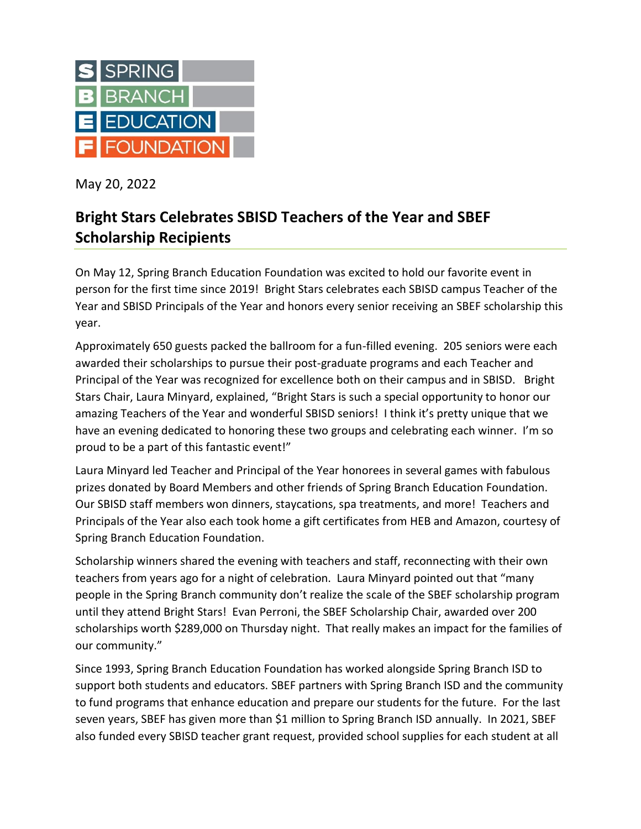

May 20, 2022

## **Bright Stars Celebrates SBISD Teachers of the Year and SBEF Scholarship Recipients**

On May 12, Spring Branch Education Foundation was excited to hold our favorite event in person for the first time since 2019! Bright Stars celebrates each SBISD campus Teacher of the Year and SBISD Principals of the Year and honors every senior receiving an SBEF scholarship this year.

Approximately 650 guests packed the ballroom for a fun-filled evening. 205 seniors were each awarded their scholarships to pursue their post-graduate programs and each Teacher and Principal of the Year was recognized for excellence both on their campus and in SBISD. Bright Stars Chair, Laura Minyard, explained, "Bright Stars is such a special opportunity to honor our amazing Teachers of the Year and wonderful SBISD seniors! I think it's pretty unique that we have an evening dedicated to honoring these two groups and celebrating each winner. I'm so proud to be a part of this fantastic event!"

Laura Minyard led Teacher and Principal of the Year honorees in several games with fabulous prizes donated by Board Members and other friends of Spring Branch Education Foundation. Our SBISD staff members won dinners, staycations, spa treatments, and more! Teachers and Principals of the Year also each took home a gift certificates from HEB and Amazon, courtesy of Spring Branch Education Foundation.

Scholarship winners shared the evening with teachers and staff, reconnecting with their own teachers from years ago for a night of celebration. Laura Minyard pointed out that "many people in the Spring Branch community don't realize the scale of the SBEF scholarship program until they attend Bright Stars! Evan Perroni, the SBEF Scholarship Chair, awarded over 200 scholarships worth \$289,000 on Thursday night. That really makes an impact for the families of our community."

Since 1993, Spring Branch Education Foundation has worked alongside Spring Branch ISD to support both students and educators. SBEF partners with Spring Branch ISD and the community to fund programs that enhance education and prepare our students for the future. For the last seven years, SBEF has given more than \$1 million to Spring Branch ISD annually. In 2021, SBEF also funded every SBISD teacher grant request, provided school supplies for each student at all